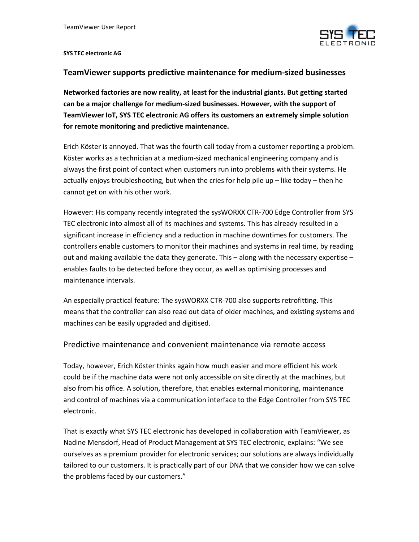

## **SYS TEC electronic AG**

## **TeamViewer supports predictive maintenance for medium‐sized businesses**

**Networked factories are now reality, at least for the industrial giants. But getting started can be a major challenge for medium‐sized businesses. However, with the support of TeamViewer IoT, SYS TEC electronic AG offers its customers an extremely simple solution for remote monitoring and predictive maintenance.**

Erich Köster is annoyed. That was the fourth call today from a customer reporting a problem. Köster works as a technician at a medium‐sized mechanical engineering company and is always the first point of contact when customers run into problems with their systems. He actually enjoys troubleshooting, but when the cries for help pile up – like today – then he cannot get on with his other work.

However: His company recently integrated the sysWORXX CTR‐700 Edge Controller from SYS TEC electronic into almost all of its machines and systems. This has already resulted in a significant increase in efficiency and a reduction in machine downtimes for customers. The controllers enable customers to monitor their machines and systems in real time, by reading out and making available the data they generate. This – along with the necessary expertise – enables faults to be detected before they occur, as well as optimising processes and maintenance intervals.

An especially practical feature: The sysWORXX CTR‐700 also supports retrofitting. This means that the controller can also read out data of older machines, and existing systems and machines can be easily upgraded and digitised.

## Predictive maintenance and convenient maintenance via remote access

Today, however, Erich Köster thinks again how much easier and more efficient his work could be if the machine data were not only accessible on site directly at the machines, but also from his office. A solution, therefore, that enables external monitoring, maintenance and control of machines via a communication interface to the Edge Controller from SYS TEC electronic.

That is exactly what SYS TEC electronic has developed in collaboration with TeamViewer, as Nadine Mensdorf, Head of Product Management at SYS TEC electronic, explains: "We see ourselves as a premium provider for electronic services; our solutions are always individually tailored to our customers. It is practically part of our DNA that we consider how we can solve the problems faced by our customers."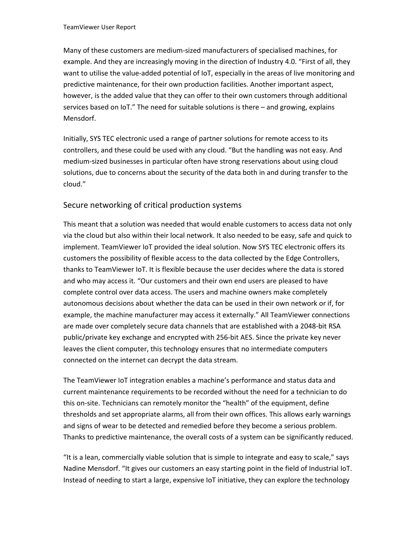Many of these customers are medium‐sized manufacturers of specialised machines, for example. And they are increasingly moving in the direction of Industry 4.0. "First of all, they want to utilise the value-added potential of IoT, especially in the areas of live monitoring and predictive maintenance, for their own production facilities. Another important aspect, however, is the added value that they can offer to their own customers through additional services based on IoT." The need for suitable solutions is there – and growing, explains Mensdorf.

Initially, SYS TEC electronic used a range of partner solutions for remote access to its controllers, and these could be used with any cloud. "But the handling was not easy. And medium‐sized businesses in particular often have strong reservations about using cloud solutions, due to concerns about the security of the data both in and during transfer to the cloud."

## Secure networking of critical production systems

This meant that a solution was needed that would enable customers to access data not only via the cloud but also within their local network. It also needed to be easy, safe and quick to implement. TeamViewer IoT provided the ideal solution. Now SYS TEC electronic offers its customers the possibility of flexible access to the data collected by the Edge Controllers, thanks to TeamViewer IoT. It is flexible because the user decides where the data is stored and who may access it. "Our customers and their own end users are pleased to have complete control over data access. The users and machine owners make completely autonomous decisions about whether the data can be used in their own network or if, for example, the machine manufacturer may access it externally." All TeamViewer connections are made over completely secure data channels that are established with a 2048‐bit RSA public/private key exchange and encrypted with 256‐bit AES. Since the private key never leaves the client computer, this technology ensures that no intermediate computers connected on the internet can decrypt the data stream.

The TeamViewer IoT integration enables a machine's performance and status data and current maintenance requirements to be recorded without the need for a technician to do this on-site. Technicians can remotely monitor the "health" of the equipment, define thresholds and set appropriate alarms, all from their own offices. This allows early warnings and signs of wear to be detected and remedied before they become a serious problem. Thanks to predictive maintenance, the overall costs of a system can be significantly reduced.

"It is a lean, commercially viable solution that is simple to integrate and easy to scale," says Nadine Mensdorf. "It gives our customers an easy starting point in the field of Industrial IoT. Instead of needing to start a large, expensive IoT initiative, they can explore the technology